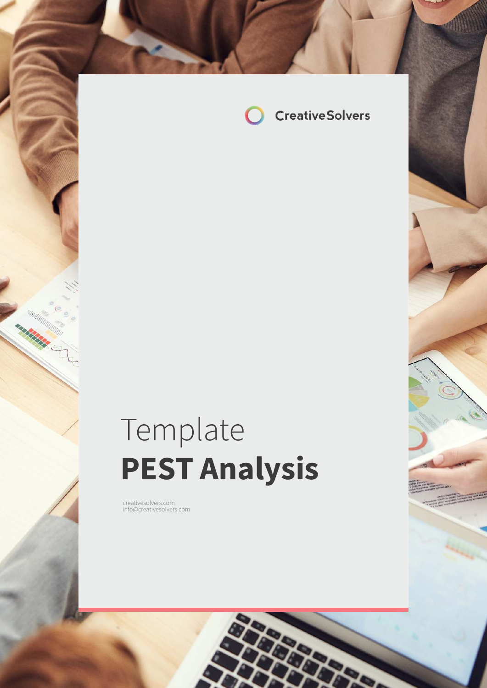

# Template **PEST Analysis**

com in formal company of the company of the company of the company of the company of the company of the company of the company of the company of the company of the company of the company of the company of the company of th

creativesolvers.com info@creativesolvers.com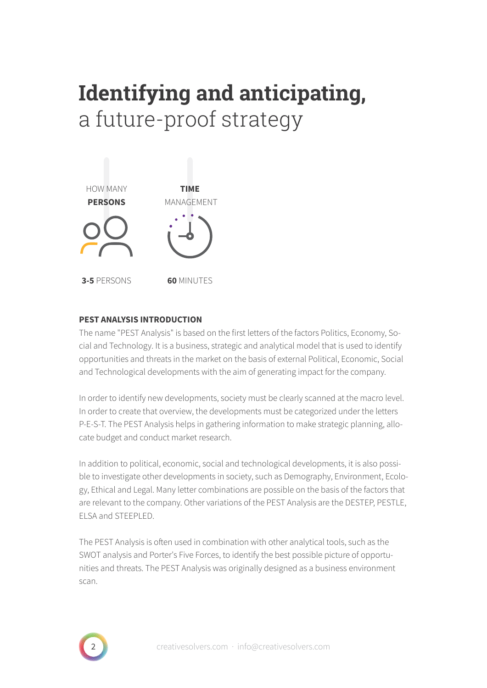# **Identifying and anticipating,**  a future-proof strategy



### **PEST ANALYSIS INTRODUCTION**

The name "PEST Analysis" is based on the first letters of the factors Politics, Economy, Social and Technology. It is a business, strategic and analytical model that is used to identify opportunities and threats in the market on the basis of external Political, Economic, Social and Technological developments with the aim of generating impact for the company.

In order to identify new developments, society must be clearly scanned at the macro level. In order to create that overview, the developments must be categorized under the letters P-E-S-T. The PEST Analysis helps in gathering information to make strategic planning, allocate budget and conduct market research.

In addition to political, economic, social and technological developments, it is also possible to investigate other developments in society, such as Demography, Environment, Ecology, Ethical and Legal. Many letter combinations are possible on the basis of the factors that are relevant to the company. Other variations of the PEST Analysis are the DESTEP, PESTLE, ELSA and STEEPLED.

The PEST Analysis is often used in combination with other analytical tools, such as the SWOT analysis and Porter's Five Forces, to identify the best possible picture of opportunities and threats. The PEST Analysis was originally designed as a business environment scan.

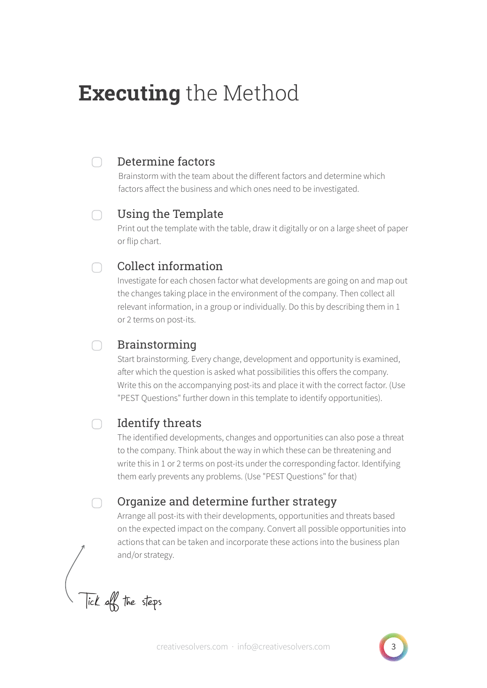# **Executing** the Method

#### Determine factors ∩

Brainstorm with the team about the different factors and determine which factors affect the business and which ones need to be investigated.

#### Using the Template  $\cap$

Print out the template with the table, draw it digitally or on a large sheet of paper or flip chart.

#### Collect information n.

Investigate for each chosen factor what developments are going on and map out the changes taking place in the environment of the company. Then collect all relevant information, in a group or individually. Do this by describing them in 1 or 2 terms on post-its.

#### Brainstorming  $\cap$

Start brainstorming. Every change, development and opportunity is examined, after which the question is asked what possibilities this offers the company. Write this on the accompanying post-its and place it with the correct factor. (Use "PEST Questions" further down in this template to identify opportunities).

#### $\Box$ Identify threats

The identified developments, changes and opportunities can also pose a threat to the company. Think about the way in which these can be threatening and write this in 1 or 2 terms on post-its under the corresponding factor. Identifying them early prevents any problems. (Use "PEST Questions" for that)

## Organize and determine further strategy

Arrange all post-its with their developments, opportunities and threats based on the expected impact on the company. Convert all possible opportunities into actions that can be taken and incorporate these actions into the business plan and/or strategy.

Tick off the steps

∩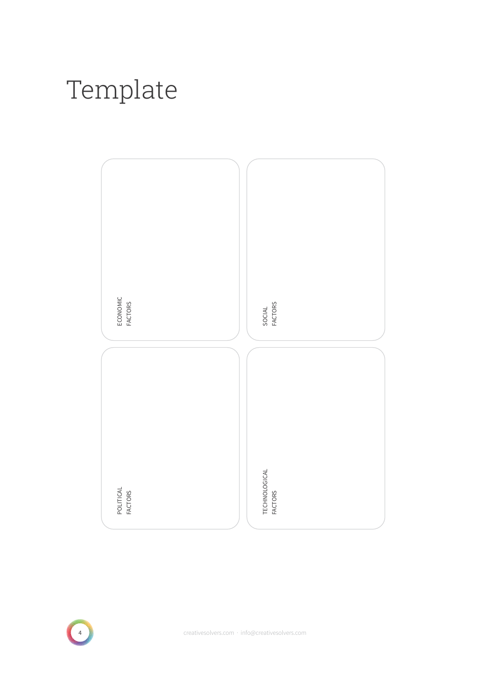# Template